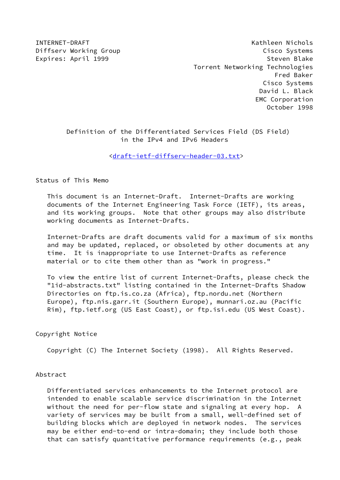INTERNET-DRAFT Kathleen Nichols Diffserv Working Group Cisco Systems Expires: April 1999 **Steven Blake**  Torrent Networking Technologies Fred Baker Cisco Systems David L. Black EMC Corporation October 1998

# Definition of the Differentiated Services Field (DS Field) in the IPv4 and IPv6 Headers

[<draft-ietf-diffserv-header-03.txt](https://datatracker.ietf.org/doc/pdf/draft-ietf-diffserv-header-03.txt)>

Status of This Memo

 This document is an Internet-Draft. Internet-Drafts are working documents of the Internet Engineering Task Force (IETF), its areas, and its working groups. Note that other groups may also distribute working documents as Internet-Drafts.

 Internet-Drafts are draft documents valid for a maximum of six months and may be updated, replaced, or obsoleted by other documents at any time. It is inappropriate to use Internet-Drafts as reference material or to cite them other than as "work in progress."

 To view the entire list of current Internet-Drafts, please check the "1id-abstracts.txt" listing contained in the Internet-Drafts Shadow Directories on ftp.is.co.za (Africa), ftp.nordu.net (Northern Europe), ftp.nis.garr.it (Southern Europe), munnari.oz.au (Pacific Rim), ftp.ietf.org (US East Coast), or ftp.isi.edu (US West Coast).

Copyright Notice

Copyright (C) The Internet Society (1998). All Rights Reserved.

#### Abstract

 Differentiated services enhancements to the Internet protocol are intended to enable scalable service discrimination in the Internet without the need for per-flow state and signaling at every hop. A variety of services may be built from a small, well-defined set of building blocks which are deployed in network nodes. The services may be either end-to-end or intra-domain; they include both those that can satisfy quantitative performance requirements (e.g., peak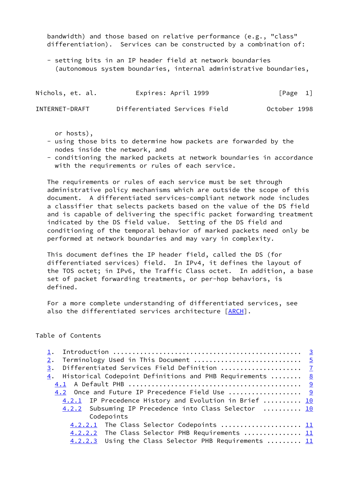bandwidth) and those based on relative performance (e.g., "class" differentiation). Services can be constructed by a combination of:

 - setting bits in an IP header field at network boundaries (autonomous system boundaries, internal administrative boundaries,

| Nichols, et. al. | Expires: April 1999           | [Page 1]     |  |
|------------------|-------------------------------|--------------|--|
| INTERNET-DRAFT   | Differentiated Services Field | October 1998 |  |

or hosts),

- using those bits to determine how packets are forwarded by the nodes inside the network, and
- conditioning the marked packets at network boundaries in accordance with the requirements or rules of each service.

 The requirements or rules of each service must be set through administrative policy mechanisms which are outside the scope of this document. A differentiated services-compliant network node includes a classifier that selects packets based on the value of the DS field and is capable of delivering the specific packet forwarding treatment indicated by the DS field value. Setting of the DS field and conditioning of the temporal behavior of marked packets need only be performed at network boundaries and may vary in complexity.

 This document defines the IP header field, called the DS (for differentiated services) field. In IPv4, it defines the layout of the TOS octet; in IPv6, the Traffic Class octet. In addition, a base set of packet forwarding treatments, or per-hop behaviors, is defined.

 For a more complete understanding of differentiated services, see also the differentiated services architecture [[ARCH\]](#page-18-0).

# Table of Contents

| Terminology Used in This Document  5<br>2.                                       |  |
|----------------------------------------------------------------------------------|--|
| 3. Differentiated Services Field Definition  7                                   |  |
| $\underline{4}$ . Historical Codepoint Definitions and PHB Requirements <u>8</u> |  |
|                                                                                  |  |
| 4.2 Once and Future IP Precedence Field Use  9                                   |  |
| 4.2.1 IP Precedence History and Evolution in Brief  10                           |  |
| 4.2.2 Subsuming IP Precedence into Class Selector  10                            |  |
| Codepoints                                                                       |  |
| 4.2.2.1 The Class Selector Codepoints  11                                        |  |
| 4.2.2.2 The Class Selector PHB Requirements  11                                  |  |
| 4.2.2.3 Using the Class Selector PHB Requirements  11                            |  |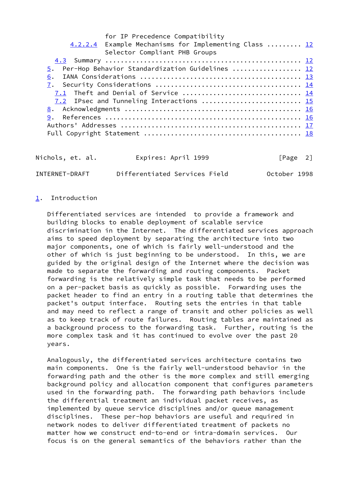for IP Precedence Compatibility 4.2.2.4 Example Mechanisms for Implementing Class ........ [12](#page-12-0) Selector Compliant PHB Groups [4.3](#page-13-0) Summary ................................................... [12](#page-12-0) [5](#page-13-1). Per-Hop Behavior Standardization Guidelines ................... [12](#page-12-0) [6](#page-15-0). IANA Considerations .......................................... [13](#page-14-0) [7](#page-15-1). Security Considerations ...................................... [14](#page-15-2) [7.1](#page-16-0) Theft and Denial of Service ............................... [14](#page-15-2) [7.2](#page-17-0) IPsec and Tunneling Interactions ............................ [15](#page-16-1) [8](#page-18-1). Acknowledgments .............................................. [16](#page-17-1) [9](#page-18-2). References ................................................... [16](#page-17-1) Authors' Addresses ............................................... [17](#page-18-3) Full Copyright Statement ......................................... [18](#page-20-0)

| Nichols, et. al. | Expires: April 1999           | $\lceil \text{Page} \quad 2 \rceil$ |
|------------------|-------------------------------|-------------------------------------|
| INTERNET-DRAFT   | Differentiated Services Field | October 1998                        |

## <span id="page-2-0"></span>[1](#page-2-0). Introduction

 Differentiated services are intended to provide a framework and building blocks to enable deployment of scalable service discrimination in the Internet. The differentiated services approach aims to speed deployment by separating the architecture into two major components, one of which is fairly well-understood and the other of which is just beginning to be understood. In this, we are guided by the original design of the Internet where the decision was made to separate the forwarding and routing components. Packet forwarding is the relatively simple task that needs to be performed on a per-packet basis as quickly as possible. Forwarding uses the packet header to find an entry in a routing table that determines the packet's output interface. Routing sets the entries in that table and may need to reflect a range of transit and other policies as well as to keep track of route failures. Routing tables are maintained as a background process to the forwarding task. Further, routing is the more complex task and it has continued to evolve over the past 20 years.

 Analogously, the differentiated services architecture contains two main components. One is the fairly well-understood behavior in the forwarding path and the other is the more complex and still emerging background policy and allocation component that configures parameters used in the forwarding path. The forwarding path behaviors include the differential treatment an individual packet receives, as implemented by queue service disciplines and/or queue management disciplines. These per-hop behaviors are useful and required in network nodes to deliver differentiated treatment of packets no matter how we construct end-to-end or intra-domain services. Our focus is on the general semantics of the behaviors rather than the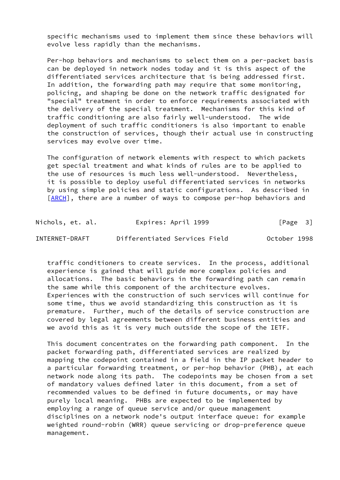specific mechanisms used to implement them since these behaviors will evolve less rapidly than the mechanisms.

 Per-hop behaviors and mechanisms to select them on a per-packet basis can be deployed in network nodes today and it is this aspect of the differentiated services architecture that is being addressed first. In addition, the forwarding path may require that some monitoring, policing, and shaping be done on the network traffic designated for "special" treatment in order to enforce requirements associated with the delivery of the special treatment. Mechanisms for this kind of traffic conditioning are also fairly well-understood. The wide deployment of such traffic conditioners is also important to enable the construction of services, though their actual use in constructing services may evolve over time.

 The configuration of network elements with respect to which packets get special treatment and what kinds of rules are to be applied to the use of resources is much less well-understood. Nevertheless, it is possible to deploy useful differentiated services in networks by using simple policies and static configurations. As described in [\[ARCH](#page-18-0)], there are a number of ways to compose per-hop behaviors and

Nichols, et. al. **Expires: April 1999** [Page 3] INTERNET-DRAFT Differentiated Services Field October 1998

 traffic conditioners to create services. In the process, additional experience is gained that will guide more complex policies and allocations. The basic behaviors in the forwarding path can remain the same while this component of the architecture evolves. Experiences with the construction of such services will continue for some time, thus we avoid standardizing this construction as it is premature. Further, much of the details of service construction are covered by legal agreements between different business entities and we avoid this as it is very much outside the scope of the IETF.

 This document concentrates on the forwarding path component. In the packet forwarding path, differentiated services are realized by mapping the codepoint contained in a field in the IP packet header to a particular forwarding treatment, or per-hop behavior (PHB), at each network node along its path. The codepoints may be chosen from a set of mandatory values defined later in this document, from a set of recommended values to be defined in future documents, or may have purely local meaning. PHBs are expected to be implemented by employing a range of queue service and/or queue management disciplines on a network node's output interface queue: for example weighted round-robin (WRR) queue servicing or drop-preference queue management.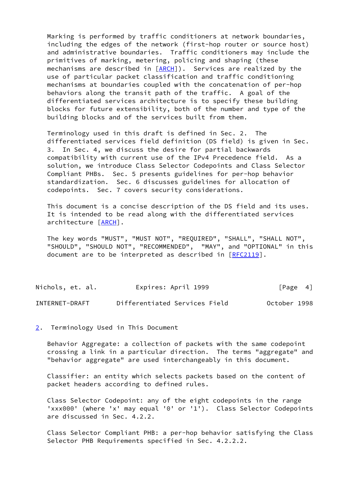Marking is performed by traffic conditioners at network boundaries, including the edges of the network (first-hop router or source host) and administrative boundaries. Traffic conditioners may include the primitives of marking, metering, policing and shaping (these mechanisms are described in [\[ARCH](#page-18-0)]). Services are realized by the use of particular packet classification and traffic conditioning mechanisms at boundaries coupled with the concatenation of per-hop behaviors along the transit path of the traffic. A goal of the differentiated services architecture is to specify these building blocks for future extensibility, both of the number and type of the building blocks and of the services built from them.

 Terminology used in this draft is defined in Sec. 2. The differentiated services field definition (DS field) is given in Sec. 3. In Sec. 4, we discuss the desire for partial backwards compatibility with current use of the IPv4 Precedence field. As a solution, we introduce Class Selector Codepoints and Class Selector Compliant PHBs. Sec. 5 presents guidelines for per-hop behavior standardization. Sec. 6 discusses guidelines for allocation of codepoints. Sec. 7 covers security considerations.

 This document is a concise description of the DS field and its uses. It is intended to be read along with the differentiated services architecture [\[ARCH](#page-18-0)].

 The key words "MUST", "MUST NOT", "REQUIRED", "SHALL", "SHALL NOT", "SHOULD", "SHOULD NOT", "RECOMMENDED", "MAY", and "OPTIONAL" in this document are to be interpreted as described in [\[RFC2119](https://datatracker.ietf.org/doc/pdf/rfc2119)].

| Nichols, et. al. | Expires: April 1999           | [Page 4]     |
|------------------|-------------------------------|--------------|
| INTERNET-DRAFT   | Differentiated Services Field | October 1998 |

#### <span id="page-4-0"></span>[2](#page-4-0). Terminology Used in This Document

 Behavior Aggregate: a collection of packets with the same codepoint crossing a link in a particular direction. The terms "aggregate" and "behavior aggregate" are used interchangeably in this document.

 Classifier: an entity which selects packets based on the content of packet headers according to defined rules.

 Class Selector Codepoint: any of the eight codepoints in the range 'xxx000' (where 'x' may equal '0' or '1'). Class Selector Codepoints are discussed in Sec. 4.2.2.

 Class Selector Compliant PHB: a per-hop behavior satisfying the Class Selector PHB Requirements specified in Sec. 4.2.2.2.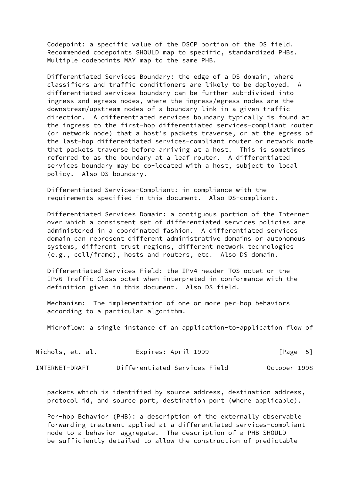Codepoint: a specific value of the DSCP portion of the DS field. Recommended codepoints SHOULD map to specific, standardized PHBs. Multiple codepoints MAY map to the same PHB.

 Differentiated Services Boundary: the edge of a DS domain, where classifiers and traffic conditioners are likely to be deployed. A differentiated services boundary can be further sub-divided into ingress and egress nodes, where the ingress/egress nodes are the downstream/upstream nodes of a boundary link in a given traffic direction. A differentiated services boundary typically is found at the ingress to the first-hop differentiated services-compliant router (or network node) that a host's packets traverse, or at the egress of the last-hop differentiated services-compliant router or network node that packets traverse before arriving at a host. This is sometimes referred to as the boundary at a leaf router. A differentiated services boundary may be co-located with a host, subject to local policy. Also DS boundary.

 Differentiated Services-Compliant: in compliance with the requirements specified in this document. Also DS-compliant.

 Differentiated Services Domain: a contiguous portion of the Internet over which a consistent set of differentiated services policies are administered in a coordinated fashion. A differentiated services domain can represent different administrative domains or autonomous systems, different trust regions, different network technologies (e.g., cell/frame), hosts and routers, etc. Also DS domain.

 Differentiated Services Field: the IPv4 header TOS octet or the IPv6 Traffic Class octet when interpreted in conformance with the definition given in this document. Also DS field.

 Mechanism: The implementation of one or more per-hop behaviors according to a particular algorithm.

Microflow: a single instance of an application-to-application flow of

| Nichols, et. al. | Expires: April 1999           | [Page 5]     |
|------------------|-------------------------------|--------------|
| INTERNET-DRAFT   | Differentiated Services Field | October 1998 |

 packets which is identified by source address, destination address, protocol id, and source port, destination port (where applicable).

 Per-hop Behavior (PHB): a description of the externally observable forwarding treatment applied at a differentiated services-compliant node to a behavior aggregate. The description of a PHB SHOULD be sufficiently detailed to allow the construction of predictable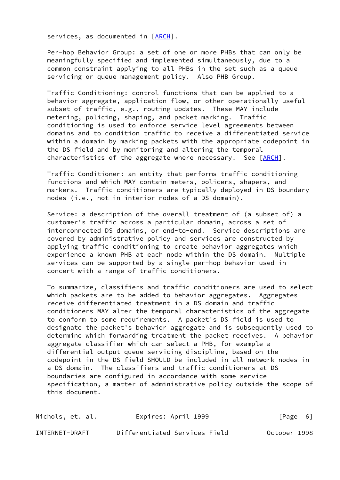services, as documented in [[ARCH\]](#page-18-0).

 Per-hop Behavior Group: a set of one or more PHBs that can only be meaningfully specified and implemented simultaneously, due to a common constraint applying to all PHBs in the set such as a queue servicing or queue management policy. Also PHB Group.

 Traffic Conditioning: control functions that can be applied to a behavior aggregate, application flow, or other operationally useful subset of traffic, e.g., routing updates. These MAY include metering, policing, shaping, and packet marking. Traffic conditioning is used to enforce service level agreements between domains and to condition traffic to receive a differentiated service within a domain by marking packets with the appropriate codepoint in the DS field and by monitoring and altering the temporal characteristics of the aggregate where necessary. See [\[ARCH](#page-18-0)].

 Traffic Conditioner: an entity that performs traffic conditioning functions and which MAY contain meters, policers, shapers, and markers. Traffic conditioners are typically deployed in DS boundary nodes (i.e., not in interior nodes of a DS domain).

 Service: a description of the overall treatment of (a subset of) a customer's traffic across a particular domain, across a set of interconnected DS domains, or end-to-end. Service descriptions are covered by administrative policy and services are constructed by applying traffic conditioning to create behavior aggregates which experience a known PHB at each node within the DS domain. Multiple services can be supported by a single per-hop behavior used in concert with a range of traffic conditioners.

 To summarize, classifiers and traffic conditioners are used to select which packets are to be added to behavior aggregates. Aggregates receive differentiated treatment in a DS domain and traffic conditioners MAY alter the temporal characteristics of the aggregate to conform to some requirements. A packet's DS field is used to designate the packet's behavior aggregate and is subsequently used to determine which forwarding treatment the packet receives. A behavior aggregate classifier which can select a PHB, for example a differential output queue servicing discipline, based on the codepoint in the DS field SHOULD be included in all network nodes in a DS domain. The classifiers and traffic conditioners at DS boundaries are configured in accordance with some service specification, a matter of administrative policy outside the scope of this document.

| Nichols, et. al. | Expires: April 1999           | $\lceil \text{Page} \quad 6 \rceil$ |
|------------------|-------------------------------|-------------------------------------|
| INTERNET-DRAFT   | Differentiated Services Field | October 1998                        |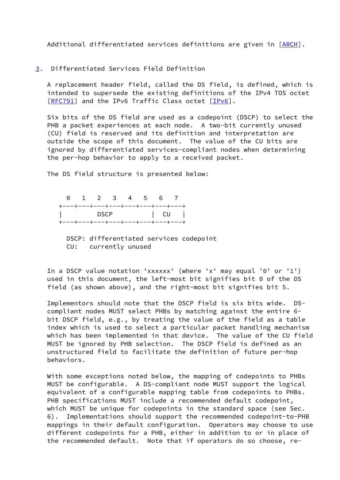Additional differentiated services definitions are given in [\[ARCH](#page-18-0)].

<span id="page-7-0"></span>[3](#page-7-0). Differentiated Services Field Definition

 A replacement header field, called the DS field, is defined, which is intended to supersede the existing definitions of the IPv4 TOS octet [\[RFC791](https://datatracker.ietf.org/doc/pdf/rfc791)] and the IPv6 Traffic Class octet [[IPv6\]](#page-19-0).

 Six bits of the DS field are used as a codepoint (DSCP) to select the PHB a packet experiences at each node. A two-bit currently unused (CU) field is reserved and its definition and interpretation are outside the scope of this document. The value of the CU bits are ignored by differentiated services-compliant nodes when determining the per-hop behavior to apply to a received packet.

The DS field structure is presented below:

 0 1 2 3 4 5 6 7 +---+---+---+---+---+---+---+---+ | DSCP | CU | +---+---+---+---+---+---+---+---+

 DSCP: differentiated services codepoint CU: currently unused

 In a DSCP value notation 'xxxxxx' (where 'x' may equal '0' or '1') used in this document, the left-most bit signifies bit 0 of the DS field (as shown above), and the right-most bit signifies bit 5.

 Implementors should note that the DSCP field is six bits wide. DS compliant nodes MUST select PHBs by matching against the entire 6 bit DSCP field, e.g., by treating the value of the field as a table index which is used to select a particular packet handling mechanism which has been implemented in that device. The value of the CU field MUST be ignored by PHB selection. The DSCP field is defined as an unstructured field to facilitate the definition of future per-hop behaviors.

 With some exceptions noted below, the mapping of codepoints to PHBs MUST be configurable. A DS-compliant node MUST support the logical equivalent of a configurable mapping table from codepoints to PHBs. PHB specifications MUST include a recommended default codepoint, which MUST be unique for codepoints in the standard space (see Sec. 6). Implementations should support the recommended codepoint-to-PHB mappings in their default configuration. Operators may choose to use different codepoints for a PHB, either in addition to or in place of the recommended default. Note that if operators do so choose, re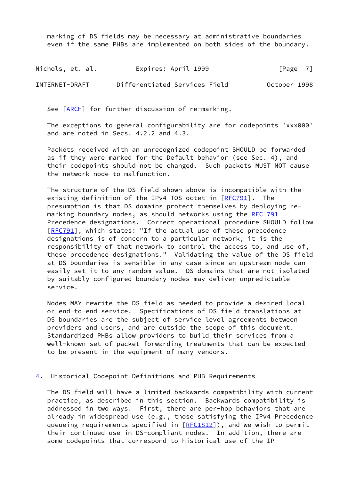marking of DS fields may be necessary at administrative boundaries even if the same PHBs are implemented on both sides of the boundary.

| Nichols, et. al. | Expires: April 1999           | [Page 7]     |
|------------------|-------------------------------|--------------|
| INTERNET-DRAFT   | Differentiated Services Field | October 1998 |

See [\[ARCH](#page-18-0)] for further discussion of re-marking.

 The exceptions to general configurability are for codepoints 'xxx000' and are noted in Secs. 4.2.2 and 4.3.

 Packets received with an unrecognized codepoint SHOULD be forwarded as if they were marked for the Default behavior (see Sec. 4), and their codepoints should not be changed. Such packets MUST NOT cause the network node to malfunction.

 The structure of the DS field shown above is incompatible with the existing definition of the IPv4 TOS octet in [\[RFC791](https://datatracker.ietf.org/doc/pdf/rfc791)]. The presumption is that DS domains protect themselves by deploying re- marking boundary nodes, as should networks using the [RFC 791](https://datatracker.ietf.org/doc/pdf/rfc791) Precedence designations. Correct operational procedure SHOULD follow [\[RFC791](https://datatracker.ietf.org/doc/pdf/rfc791)], which states: "If the actual use of these precedence designations is of concern to a particular network, it is the responsibility of that network to control the access to, and use of, those precedence designations." Validating the value of the DS field at DS boundaries is sensible in any case since an upstream node can easily set it to any random value. DS domains that are not isolated by suitably configured boundary nodes may deliver unpredictable service.

 Nodes MAY rewrite the DS field as needed to provide a desired local or end-to-end service. Specifications of DS field translations at DS boundaries are the subject of service level agreements between providers and users, and are outside the scope of this document. Standardized PHBs allow providers to build their services from a well-known set of packet forwarding treatments that can be expected to be present in the equipment of many vendors.

#### <span id="page-8-0"></span>[4](#page-8-0). Historical Codepoint Definitions and PHB Requirements

 The DS field will have a limited backwards compatibility with current practice, as described in this section. Backwards compatibility is addressed in two ways. First, there are per-hop behaviors that are already in widespread use (e.g., those satisfying the IPv4 Precedence queueing requirements specified in [[RFC1812\]](https://datatracker.ietf.org/doc/pdf/rfc1812)), and we wish to permit their continued use in DS-compliant nodes. In addition, there are some codepoints that correspond to historical use of the IP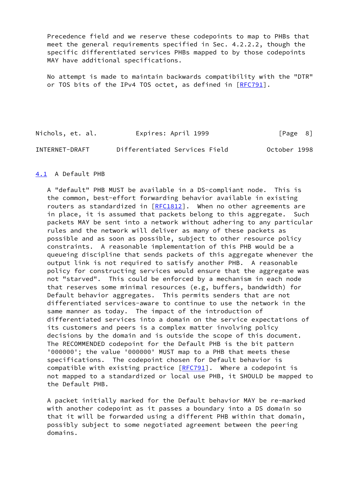Precedence field and we reserve these codepoints to map to PHBs that meet the general requirements specified in Sec. 4.2.2.2, though the specific differentiated services PHBs mapped to by those codepoints MAY have additional specifications.

 No attempt is made to maintain backwards compatibility with the "DTR" or TOS bits of the IPv4 TOS octet, as defined in [\[RFC791](https://datatracker.ietf.org/doc/pdf/rfc791)].

Nichols, et. al. Expires: April 1999 [Page 8] INTERNET-DRAFT Differentiated Services Field October 1998

## <span id="page-9-0"></span>[4.1](#page-9-0) A Default PHB

 A "default" PHB MUST be available in a DS-compliant node. This is the common, best-effort forwarding behavior available in existing routers as standardized in  $[REC1812]$ . When no other agreements are in place, it is assumed that packets belong to this aggregate. Such packets MAY be sent into a network without adhering to any particular rules and the network will deliver as many of these packets as possible and as soon as possible, subject to other resource policy constraints. A reasonable implementation of this PHB would be a queueing discipline that sends packets of this aggregate whenever the output link is not required to satisfy another PHB. A reasonable policy for constructing services would ensure that the aggregate was not "starved". This could be enforced by a mechanism in each node that reserves some minimal resources (e.g, buffers, bandwidth) for Default behavior aggregates. This permits senders that are not differentiated services-aware to continue to use the network in the same manner as today. The impact of the introduction of differentiated services into a domain on the service expectations of its customers and peers is a complex matter involving policy decisions by the domain and is outside the scope of this document. The RECOMMENDED codepoint for the Default PHB is the bit pattern '000000'; the value '000000' MUST map to a PHB that meets these specifications. The codepoint chosen for Default behavior is compatible with existing practice  $[REC91]$ . Where a codepoint is not mapped to a standardized or local use PHB, it SHOULD be mapped to the Default PHB.

 A packet initially marked for the Default behavior MAY be re-marked with another codepoint as it passes a boundary into a DS domain so that it will be forwarded using a different PHB within that domain, possibly subject to some negotiated agreement between the peering domains.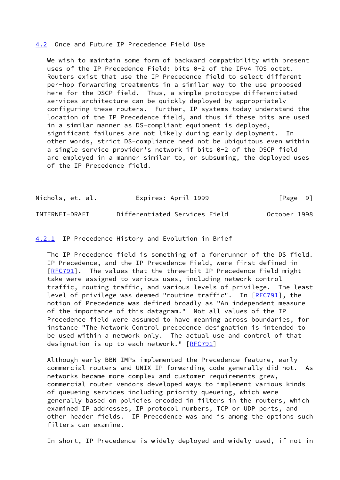## <span id="page-10-0"></span>[4.2](#page-10-0) Once and Future IP Precedence Field Use

 We wish to maintain some form of backward compatibility with present uses of the IP Precedence Field: bits 0-2 of the IPv4 TOS octet. Routers exist that use the IP Precedence field to select different per-hop forwarding treatments in a similar way to the use proposed here for the DSCP field. Thus, a simple prototype differentiated services architecture can be quickly deployed by appropriately configuring these routers. Further, IP systems today understand the location of the IP Precedence field, and thus if these bits are used in a similar manner as DS-compliant equipment is deployed, significant failures are not likely during early deployment. In other words, strict DS-compliance need not be ubiquitous even within a single service provider's network if bits 0-2 of the DSCP field are employed in a manner similar to, or subsuming, the deployed uses of the IP Precedence field.

| Nichols, et. al. | Expires: April 1999           | [Page 9]     |
|------------------|-------------------------------|--------------|
| INTERNET-DRAFT   | Differentiated Services Field | October 1998 |

## <span id="page-10-1"></span>[4.2.1](#page-10-1) IP Precedence History and Evolution in Brief

 The IP Precedence field is something of a forerunner of the DS field. IP Precedence, and the IP Precedence Field, were first defined in [\[RFC791](https://datatracker.ietf.org/doc/pdf/rfc791)]. The values that the three-bit IP Precedence Field might take were assigned to various uses, including network control traffic, routing traffic, and various levels of privilege. The least level of privilege was deemed "routine traffic". In [\[RFC791](https://datatracker.ietf.org/doc/pdf/rfc791)], the notion of Precedence was defined broadly as "An independent measure of the importance of this datagram." Not all values of the IP Precedence field were assumed to have meaning across boundaries, for instance "The Network Control precedence designation is intended to be used within a network only. The actual use and control of that designation is up to each network." [\[RFC791](https://datatracker.ietf.org/doc/pdf/rfc791)]

 Although early BBN IMPs implemented the Precedence feature, early commercial routers and UNIX IP forwarding code generally did not. As networks became more complex and customer requirements grew, commercial router vendors developed ways to implement various kinds of queueing services including priority queueing, which were generally based on policies encoded in filters in the routers, which examined IP addresses, IP protocol numbers, TCP or UDP ports, and other header fields. IP Precedence was and is among the options such filters can examine.

In short, IP Precedence is widely deployed and widely used, if not in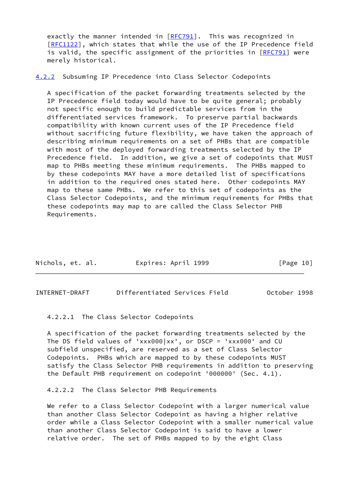exactly the manner intended in [\[RFC791](https://datatracker.ietf.org/doc/pdf/rfc791)]. This was recognized in [\[RFC1122](https://datatracker.ietf.org/doc/pdf/rfc1122)], which states that while the use of the IP Precedence field is valid, the specific assignment of the priorities in [\[RFC791](https://datatracker.ietf.org/doc/pdf/rfc791)] were merely historical.

<span id="page-11-0"></span>[4.2.2](#page-11-0) Subsuming IP Precedence into Class Selector Codepoints

 A specification of the packet forwarding treatments selected by the IP Precedence field today would have to be quite general; probably not specific enough to build predictable services from in the differentiated services framework. To preserve partial backwards compatibility with known current uses of the IP Precedence field without sacrificing future flexibility, we have taken the approach of describing minimum requirements on a set of PHBs that are compatible with most of the deployed forwarding treatments selected by the IP Precedence field. In addition, we give a set of codepoints that MUST map to PHBs meeting these minimum requirements. The PHBs mapped to by these codepoints MAY have a more detailed list of specifications in addition to the required ones stated here. Other codepoints MAY map to these same PHBs. We refer to this set of codepoints as the Class Selector Codepoints, and the minimum requirements for PHBs that these codepoints may map to are called the Class Selector PHB Requirements.

<span id="page-11-1"></span>INTERNET-DRAFT Differentiated Services Field October 1998

4.2.2.1 The Class Selector Codepoints

 A specification of the packet forwarding treatments selected by the The DS field values of 'xxx000|xx', or DSCP = 'xxx000' and CU subfield unspecified, are reserved as a set of Class Selector Codepoints. PHBs which are mapped to by these codepoints MUST satisfy the Class Selector PHB requirements in addition to preserving the Default PHB requirement on codepoint '000000' (Sec. 4.1).

4.2.2.2 The Class Selector PHB Requirements

We refer to a Class Selector Codepoint with a larger numerical value than another Class Selector Codepoint as having a higher relative order while a Class Selector Codepoint with a smaller numerical value than another Class Selector Codepoint is said to have a lower relative order. The set of PHBs mapped to by the eight Class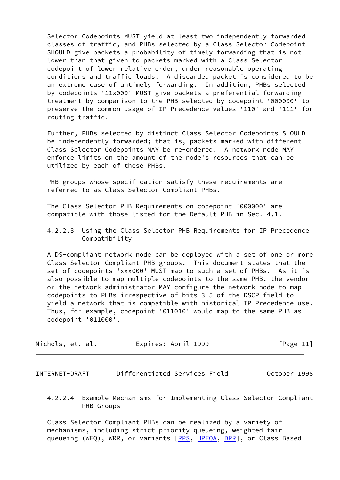Selector Codepoints MUST yield at least two independently forwarded classes of traffic, and PHBs selected by a Class Selector Codepoint SHOULD give packets a probability of timely forwarding that is not lower than that given to packets marked with a Class Selector codepoint of lower relative order, under reasonable operating conditions and traffic loads. A discarded packet is considered to be an extreme case of untimely forwarding. In addition, PHBs selected by codepoints '11x000' MUST give packets a preferential forwarding treatment by comparison to the PHB selected by codepoint '000000' to preserve the common usage of IP Precedence values '110' and '111' for routing traffic.

 Further, PHBs selected by distinct Class Selector Codepoints SHOULD be independently forwarded; that is, packets marked with different Class Selector Codepoints MAY be re-ordered. A network node MAY enforce limits on the amount of the node's resources that can be utilized by each of these PHBs.

 PHB groups whose specification satisfy these requirements are referred to as Class Selector Compliant PHBs.

 The Class Selector PHB Requirements on codepoint '000000' are compatible with those listed for the Default PHB in Sec. 4.1.

 4.2.2.3 Using the Class Selector PHB Requirements for IP Precedence Compatibility

 A DS-compliant network node can be deployed with a set of one or more Class Selector Compliant PHB groups. This document states that the set of codepoints 'xxx000' MUST map to such a set of PHBs. As it is also possible to map multiple codepoints to the same PHB, the vendor or the network administrator MAY configure the network node to map codepoints to PHBs irrespective of bits 3-5 of the DSCP field to yield a network that is compatible with historical IP Precedence use. Thus, for example, codepoint '011010' would map to the same PHB as codepoint '011000'.

| Nichols, et. al. | Expires: April 1999 | [Page 11] |
|------------------|---------------------|-----------|
|------------------|---------------------|-----------|

<span id="page-12-0"></span>INTERNET-DRAFT Differentiated Services Field October 1998

 4.2.2.4 Example Mechanisms for Implementing Class Selector Compliant PHB Groups

 Class Selector Compliant PHBs can be realized by a variety of mechanisms, including strict priority queueing, weighted fair queueing (WFQ), WRR, or variants [\[RPS](#page-19-1), [HPFQA,](#page-18-4) [DRR](#page-18-5)], or Class-Based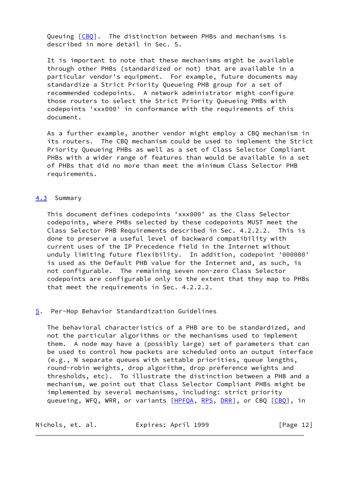Queuing [\[CBQ](#page-18-6)]. The distinction between PHBs and mechanisms is described in more detail in Sec. 5.

 It is important to note that these mechanisms might be available through other PHBs (standardized or not) that are available in a particular vendor's equipment. For example, future documents may standardize a Strict Priority Queueing PHB group for a set of recommended codepoints. A network administrator might configure those routers to select the Strict Priority Queueing PHBs with codepoints 'xxx000' in conformance with the requirements of this document.

 As a further example, another vendor might employ a CBQ mechanism in its routers. The CBQ mechanism could be used to implement the Strict Priority Queueing PHBs as well as a set of Class Selector Compliant PHBs with a wider range of features than would be available in a set of PHBs that did no more than meet the minimum Class Selector PHB requirements.

#### <span id="page-13-0"></span>[4.3](#page-13-0) Summary

 This document defines codepoints 'xxx000' as the Class Selector codepoints, where PHBs selected by these codepoints MUST meet the Class Selector PHB Requirements described in Sec. 4.2.2.2. This is done to preserve a useful level of backward compatibility with current uses of the IP Precedence field in the Internet without unduly limiting future flexibility. In addition, codepoint '000000' is used as the Default PHB value for the Internet and, as such, is not configurable. The remaining seven non-zero Class Selector codepoints are configurable only to the extent that they map to PHBs that meet the requirements in Sec. 4.2.2.2.

## <span id="page-13-1"></span>[5](#page-13-1). Per-Hop Behavior Standardization Guidelines

 The behavioral characteristics of a PHB are to be standardized, and not the particular algorithms or the mechanisms used to implement them. A node may have a (possibly large) set of parameters that can be used to control how packets are scheduled onto an output interface (e.g., N separate queues with settable priorities, queue lengths, round-robin weights, drop algorithm, drop preference weights and thresholds, etc). To illustrate the distinction between a PHB and a mechanism, we point out that Class Selector Compliant PHBs might be implemented by several mechanisms, including: strict priority queueing, WFQ, WRR, or variants [\[HPFQA](#page-18-4), [RPS](#page-19-1), [DRR](#page-18-5)], or [CBQ](#page-18-6) [CBQ], in

| Nichols, et. al. | Expires: April 1999 | [Page 12] |
|------------------|---------------------|-----------|
|------------------|---------------------|-----------|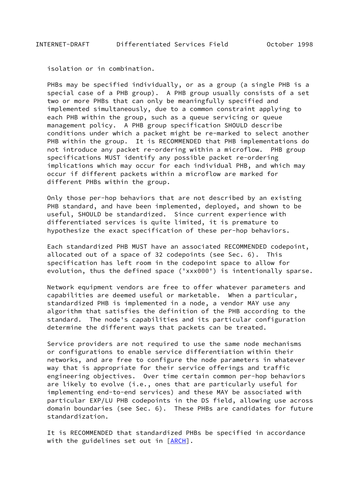<span id="page-14-0"></span>isolation or in combination.

 PHBs may be specified individually, or as a group (a single PHB is a special case of a PHB group). A PHB group usually consists of a set two or more PHBs that can only be meaningfully specified and implemented simultaneously, due to a common constraint applying to each PHB within the group, such as a queue servicing or queue management policy. A PHB group specification SHOULD describe conditions under which a packet might be re-marked to select another PHB within the group. It is RECOMMENDED that PHB implementations do not introduce any packet re-ordering within a microflow. PHB group specifications MUST identify any possible packet re-ordering implications which may occur for each individual PHB, and which may occur if different packets within a microflow are marked for different PHBs within the group.

 Only those per-hop behaviors that are not described by an existing PHB standard, and have been implemented, deployed, and shown to be useful, SHOULD be standardized. Since current experience with differentiated services is quite limited, it is premature to hypothesize the exact specification of these per-hop behaviors.

 Each standardized PHB MUST have an associated RECOMMENDED codepoint, allocated out of a space of 32 codepoints (see Sec. 6). This specification has left room in the codepoint space to allow for evolution, thus the defined space ('xxx000') is intentionally sparse.

 Network equipment vendors are free to offer whatever parameters and capabilities are deemed useful or marketable. When a particular, standardized PHB is implemented in a node, a vendor MAY use any algorithm that satisfies the definition of the PHB according to the standard. The node's capabilities and its particular configuration determine the different ways that packets can be treated.

 Service providers are not required to use the same node mechanisms or configurations to enable service differentiation within their networks, and are free to configure the node parameters in whatever way that is appropriate for their service offerings and traffic engineering objectives. Over time certain common per-hop behaviors are likely to evolve (i.e., ones that are particularly useful for implementing end-to-end services) and these MAY be associated with particular EXP/LU PHB codepoints in the DS field, allowing use across domain boundaries (see Sec. 6). These PHBs are candidates for future standardization.

 It is RECOMMENDED that standardized PHBs be specified in accordance with the guidelines set out in [\[ARCH](#page-18-0)].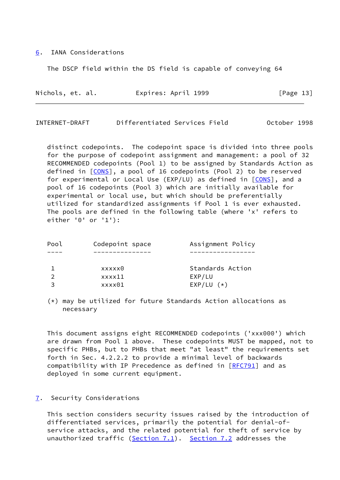## <span id="page-15-0"></span>[6](#page-15-0). IANA Considerations

The DSCP field within the DS field is capable of conveying 64

| Nichols, et. al. | Expires: April 1999 | [Page 13] |  |
|------------------|---------------------|-----------|--|
|                  |                     |           |  |

<span id="page-15-2"></span>INTERNET-DRAFT Differentiated Services Field October 1998

 distinct codepoints. The codepoint space is divided into three pools for the purpose of codepoint assignment and management: a pool of 32 RECOMMENDED codepoints (Pool 1) to be assigned by Standards Action as defined in [[CONS\]](#page-18-7), a pool of 16 codepoints (Pool 2) to be reserved for experimental or Local Use (EXP/LU) as defined in [\[CONS](#page-18-7)], and a pool of 16 codepoints (Pool 3) which are initially available for experimental or local use, but which should be preferentially utilized for standardized assignments if Pool 1 is ever exhausted. The pools are defined in the following table (where 'x' refers to either '0' or '1'):

| Pool | Codepoint space | Assignment Policy |
|------|-----------------|-------------------|
|      |                 |                   |
|      | xxxxx0          | Standards Action  |
|      | xxxx11          | EXP/LU            |
| 3    | xxxx01          | $EXP/LU$ $(*)$    |
|      |                 |                   |

 (\*) may be utilized for future Standards Action allocations as necessary

 This document assigns eight RECOMMENDED codepoints ('xxx000') which are drawn from Pool 1 above. These codepoints MUST be mapped, not to specific PHBs, but to PHBs that meet "at least" the requirements set forth in Sec. 4.2.2.2 to provide a minimal level of backwards compatibility with IP Precedence as defined in [\[RFC791](https://datatracker.ietf.org/doc/pdf/rfc791)] and as deployed in some current equipment.

#### <span id="page-15-1"></span>[7](#page-15-1). Security Considerations

 This section considers security issues raised by the introduction of differentiated services, primarily the potential for denial-of service attacks, and the related potential for theft of service by unauthorized traffic ( $Section 7.1$ ). [Section 7.2](#page-17-0) addresses the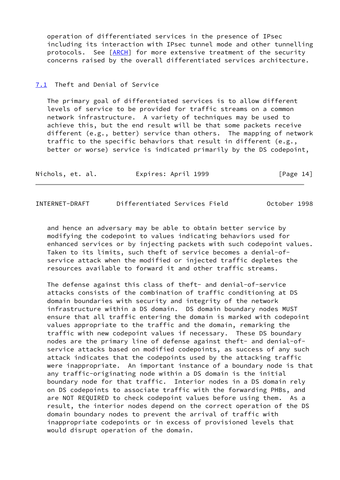operation of differentiated services in the presence of IPsec including its interaction with IPsec tunnel mode and other tunnelling protocols. See [\[ARCH](#page-18-0)] for more extensive treatment of the security concerns raised by the overall differentiated services architecture.

## <span id="page-16-0"></span>[7.1](#page-16-0) Theft and Denial of Service

 The primary goal of differentiated services is to allow different levels of service to be provided for traffic streams on a common network infrastructure. A variety of techniques may be used to achieve this, but the end result will be that some packets receive different (e.g., better) service than others. The mapping of network traffic to the specific behaviors that result in different (e.g., better or worse) service is indicated primarily by the DS codepoint,

| Nichols, et. al. | Expires: April 1999 | [Page 14] |
|------------------|---------------------|-----------|
|------------------|---------------------|-----------|

<span id="page-16-1"></span>INTERNET-DRAFT Differentiated Services Field October 1998

 and hence an adversary may be able to obtain better service by modifying the codepoint to values indicating behaviors used for enhanced services or by injecting packets with such codepoint values. Taken to its limits, such theft of service becomes a denial-of service attack when the modified or injected traffic depletes the resources available to forward it and other traffic streams.

 The defense against this class of theft- and denial-of-service attacks consists of the combination of traffic conditioning at DS domain boundaries with security and integrity of the network infrastructure within a DS domain. DS domain boundary nodes MUST ensure that all traffic entering the domain is marked with codepoint values appropriate to the traffic and the domain, remarking the traffic with new codepoint values if necessary. These DS boundary nodes are the primary line of defense against theft- and denial-of service attacks based on modified codepoints, as success of any such attack indicates that the codepoints used by the attacking traffic were inappropriate. An important instance of a boundary node is that any traffic-originating node within a DS domain is the initial boundary node for that traffic. Interior nodes in a DS domain rely on DS codepoints to associate traffic with the forwarding PHBs, and are NOT REQUIRED to check codepoint values before using them. As a result, the interior nodes depend on the correct operation of the DS domain boundary nodes to prevent the arrival of traffic with inappropriate codepoints or in excess of provisioned levels that would disrupt operation of the domain.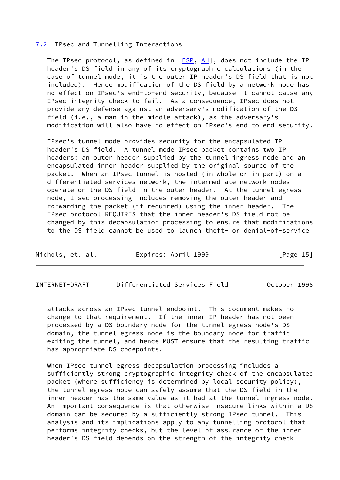#### <span id="page-17-0"></span>[7.2](#page-17-0) IPsec and Tunnelling Interactions

The IPsec protocol, as defined in  $[ESP, AH]$  $[ESP, AH]$  $[ESP, AH]$  $[ESP, AH]$  $[ESP, AH]$ , does not include the IP header's DS field in any of its cryptographic calculations (in the case of tunnel mode, it is the outer IP header's DS field that is not included). Hence modification of the DS field by a network node has no effect on IPsec's end-to-end security, because it cannot cause any IPsec integrity check to fail. As a consequence, IPsec does not provide any defense against an adversary's modification of the DS field (i.e., a man-in-the-middle attack), as the adversary's modification will also have no effect on IPsec's end-to-end security.

 IPsec's tunnel mode provides security for the encapsulated IP header's DS field. A tunnel mode IPsec packet contains two IP headers: an outer header supplied by the tunnel ingress node and an encapsulated inner header supplied by the original source of the packet. When an IPsec tunnel is hosted (in whole or in part) on a differentiated services network, the intermediate network nodes operate on the DS field in the outer header. At the tunnel egress node, IPsec processing includes removing the outer header and forwarding the packet (if required) using the inner header. The IPsec protocol REQUIRES that the inner header's DS field not be changed by this decapsulation processing to ensure that modifications to the DS field cannot be used to launch theft- or denial-of-service

| Nichols, et. al. | Expires: April 1999 | [Page 15] |
|------------------|---------------------|-----------|
|------------------|---------------------|-----------|

<span id="page-17-1"></span>INTERNET-DRAFT Differentiated Services Field October 1998

 attacks across an IPsec tunnel endpoint. This document makes no change to that requirement. If the inner IP header has not been processed by a DS boundary node for the tunnel egress node's DS domain, the tunnel egress node is the boundary node for traffic exiting the tunnel, and hence MUST ensure that the resulting traffic has appropriate DS codepoints.

 When IPsec tunnel egress decapsulation processing includes a sufficiently strong cryptographic integrity check of the encapsulated packet (where sufficiency is determined by local security policy), the tunnel egress node can safely assume that the DS field in the inner header has the same value as it had at the tunnel ingress node. An important consequence is that otherwise insecure links within a DS domain can be secured by a sufficiently strong IPsec tunnel. This analysis and its implications apply to any tunnelling protocol that performs integrity checks, but the level of assurance of the inner header's DS field depends on the strength of the integrity check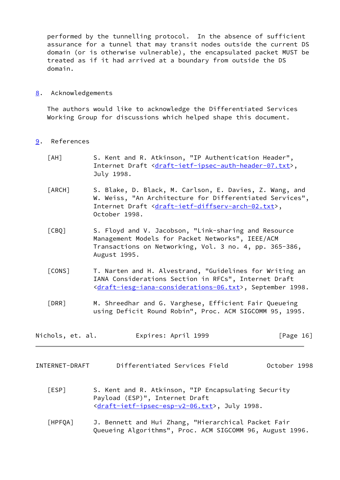performed by the tunnelling protocol. In the absence of sufficient assurance for a tunnel that may transit nodes outside the current DS domain (or is otherwise vulnerable), the encapsulated packet MUST be treated as if it had arrived at a boundary from outside the DS domain.

## <span id="page-18-1"></span>[8](#page-18-1). Acknowledgements

 The authors would like to acknowledge the Differentiated Services Working Group for discussions which helped shape this document.

- <span id="page-18-9"></span><span id="page-18-6"></span><span id="page-18-2"></span><span id="page-18-0"></span>[9](#page-18-2). References
	- [AH] S. Kent and R. Atkinson, "IP Authentication Header", Internet Draft <[draft-ietf-ipsec-auth-header-07.txt>](https://datatracker.ietf.org/doc/pdf/draft-ietf-ipsec-auth-header-07.txt), July 1998.
	- [ARCH] S. Blake, D. Black, M. Carlson, E. Davies, Z. Wang, and W. Weiss, "An Architecture for Differentiated Services", Internet Draft <[draft-ietf-diffserv-arch-02.txt>](https://datatracker.ietf.org/doc/pdf/draft-ietf-diffserv-arch-02.txt), October 1998.
	- [CBQ] S. Floyd and V. Jacobson, "Link-sharing and Resource Management Models for Packet Networks", IEEE/ACM Transactions on Networking, Vol. 3 no. 4, pp. 365-386, August 1995.
	- [CONS] T. Narten and H. Alvestrand, "Guidelines for Writing an IANA Considerations Section in RFCs", Internet Draft [<draft-iesg-iana-considerations-06.txt](https://datatracker.ietf.org/doc/pdf/draft-iesg-iana-considerations-06.txt)>, September 1998.
	- [DRR] M. Shreedhar and G. Varghese, Efficient Fair Queueing using Deficit Round Robin", Proc. ACM SIGCOMM 95, 1995.

<span id="page-18-7"></span><span id="page-18-5"></span>

| Nichols, et. al. | Expires: April 1999 | [Page 16] |
|------------------|---------------------|-----------|
|------------------|---------------------|-----------|

<span id="page-18-3"></span>INTERNET-DRAFT Differentiated Services Field October 1998

- <span id="page-18-8"></span> [ESP] S. Kent and R. Atkinson, "IP Encapsulating Security Payload (ESP)", Internet Draft [<draft-ietf-ipsec-esp-v2-06.txt](https://datatracker.ietf.org/doc/pdf/draft-ietf-ipsec-esp-v2-06.txt)>, July 1998.
- <span id="page-18-4"></span> [HPFQA] J. Bennett and Hui Zhang, "Hierarchical Packet Fair Queueing Algorithms", Proc. ACM SIGCOMM 96, August 1996.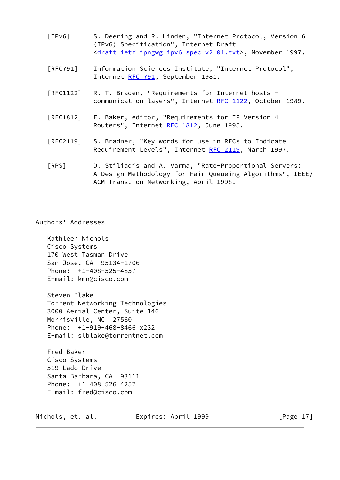- <span id="page-19-0"></span> [IPv6] S. Deering and R. Hinden, "Internet Protocol, Version 6 (IPv6) Specification", Internet Draft [<draft-ietf-ipngwg-ipv6-spec-v2-01.txt](https://datatracker.ietf.org/doc/pdf/draft-ietf-ipngwg-ipv6-spec-v2-01.txt)>, November 1997.
- [RFC791] Information Sciences Institute, "Internet Protocol", Internet [RFC 791](https://datatracker.ietf.org/doc/pdf/rfc791), September 1981.
- [RFC1122] R. T. Braden, "Requirements for Internet hosts communication layers", Internet [RFC 1122,](https://datatracker.ietf.org/doc/pdf/rfc1122) October 1989.
- [RFC1812] F. Baker, editor, "Requirements for IP Version 4 Routers", Internet [RFC 1812,](https://datatracker.ietf.org/doc/pdf/rfc1812) June 1995.
- [RFC2119] S. Bradner, "Key words for use in RFCs to Indicate Requirement Levels", Internet [RFC 2119](https://datatracker.ietf.org/doc/pdf/rfc2119), March 1997.
- <span id="page-19-1"></span> [RPS] D. Stiliadis and A. Varma, "Rate-Proportional Servers: A Design Methodology for Fair Queueing Algorithms", IEEE/ ACM Trans. on Networking, April 1998.

Authors' Addresses

 Kathleen Nichols Cisco Systems 170 West Tasman Drive San Jose, CA 95134-1706 Phone: +1-408-525-4857 E-mail: kmn@cisco.com

 Steven Blake Torrent Networking Technologies 3000 Aerial Center, Suite 140 Morrisville, NC 27560 Phone: +1-919-468-8466 x232 E-mail: slblake@torrentnet.com

 Fred Baker Cisco Systems 519 Lado Drive Santa Barbara, CA 93111 Phone: +1-408-526-4257 E-mail: fred@cisco.com

Nichols, et. al. Expires: April 1999 [Page 17]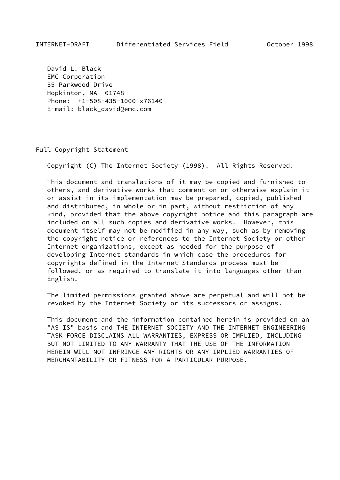<span id="page-20-0"></span> David L. Black EMC Corporation 35 Parkwood Drive Hopkinton, MA 01748 Phone: +1-508-435-1000 x76140 E-mail: black\_david@emc.com

#### Full Copyright Statement

Copyright (C) The Internet Society (1998). All Rights Reserved.

 This document and translations of it may be copied and furnished to others, and derivative works that comment on or otherwise explain it or assist in its implementation may be prepared, copied, published and distributed, in whole or in part, without restriction of any kind, provided that the above copyright notice and this paragraph are included on all such copies and derivative works. However, this document itself may not be modified in any way, such as by removing the copyright notice or references to the Internet Society or other Internet organizations, except as needed for the purpose of developing Internet standards in which case the procedures for copyrights defined in the Internet Standards process must be followed, or as required to translate it into languages other than English.

 The limited permissions granted above are perpetual and will not be revoked by the Internet Society or its successors or assigns.

 This document and the information contained herein is provided on an "AS IS" basis and THE INTERNET SOCIETY AND THE INTERNET ENGINEERING TASK FORCE DISCLAIMS ALL WARRANTIES, EXPRESS OR IMPLIED, INCLUDING BUT NOT LIMITED TO ANY WARRANTY THAT THE USE OF THE INFORMATION HEREIN WILL NOT INFRINGE ANY RIGHTS OR ANY IMPLIED WARRANTIES OF MERCHANTABILITY OR FITNESS FOR A PARTICULAR PURPOSE.